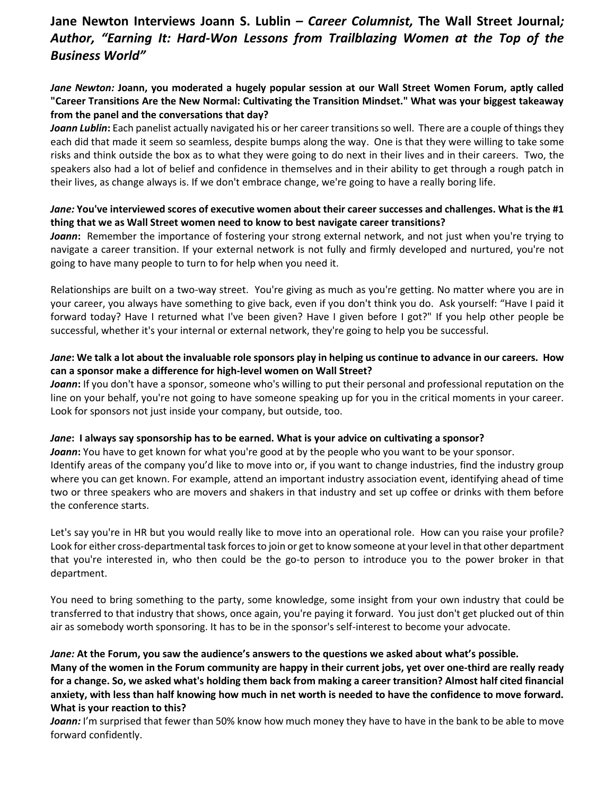# **Jane Newton Interviews Joann S. Lublin** *– Career Columnist,* **The Wall Street Journal***; Author, "Earning It: Hard-Won Lessons from Trailblazing Women at the Top of the Business World"*

## *Jane Newton:* **Joann, you moderated a hugely popular session at our Wall Street Women Forum, aptly called "Career Transitions Are the New Normal: Cultivating the Transition Mindset." What was your biggest takeaway from the panel and the conversations that day?**

*Joann Lublin***:** Each panelist actually navigated his or her career transitions so well. There are a couple of things they each did that made it seem so seamless, despite bumps along the way. One is that they were willing to take some risks and think outside the box as to what they were going to do next in their lives and in their careers. Two, the speakers also had a lot of belief and confidence in themselves and in their ability to get through a rough patch in their lives, as change always is. If we don't embrace change, we're going to have a really boring life.

### *Jane:* **You've interviewed scores of executive women about their career successes and challenges. What is the #1 thing that we as Wall Street women need to know to best navigate career transitions?**

*Joann***:** Remember the importance of fostering your strong external network, and not just when you're trying to navigate a career transition. If your external network is not fully and firmly developed and nurtured, you're not going to have many people to turn to for help when you need it.

Relationships are built on a two-way street. You're giving as much as you're getting. No matter where you are in your career, you always have something to give back, even if you don't think you do. Ask yourself: "Have I paid it forward today? Have I returned what I've been given? Have I given before I got?" If you help other people be successful, whether it's your internal or external network, they're going to help you be successful.

#### *Jane***: We talk a lot about the invaluable role sponsors play in helping us continue to advance in our careers. How can a sponsor make a difference for high-level women on Wall Street?**

*Joann***:** If you don't have a sponsor, someone who's willing to put their personal and professional reputation on the line on your behalf, you're not going to have someone speaking up for you in the critical moments in your career. Look for sponsors not just inside your company, but outside, too.

## *Jane***: I always say sponsorship has to be earned. What is your advice on cultivating a sponsor?**

**Joann:** You have to get known for what you're good at by the people who you want to be your sponsor. Identify areas of the company you'd like to move into or, if you want to change industries, find the industry group where you can get known. For example, attend an important industry association event, identifying ahead of time two or three speakers who are movers and shakers in that industry and set up coffee or drinks with them before the conference starts.

Let's say you're in HR but you would really like to move into an operational role. How can you raise your profile? Look for either cross-departmental task forces to join or get to know someone at your level in that other department that you're interested in, who then could be the go-to person to introduce you to the power broker in that department.

You need to bring something to the party, some knowledge, some insight from your own industry that could be transferred to that industry that shows, once again, you're paying it forward. You just don't get plucked out of thin air as somebody worth sponsoring. It has to be in the sponsor's self-interest to become your advocate.

#### *Jane:* **At the Forum, you saw the audience's answers to the questions we asked about what's possible.**

**Many of the women in the Forum community are happy in their current jobs, yet over one-third are really ready for a change. So, we asked what's holding them back from making a career transition? Almost half cited financial anxiety, with less than half knowing how much in net worth is needed to have the confidence to move forward. What is your reaction to this?**

*Joann:* I'm surprised that fewer than 50% know how much money they have to have in the bank to be able to move forward confidently.